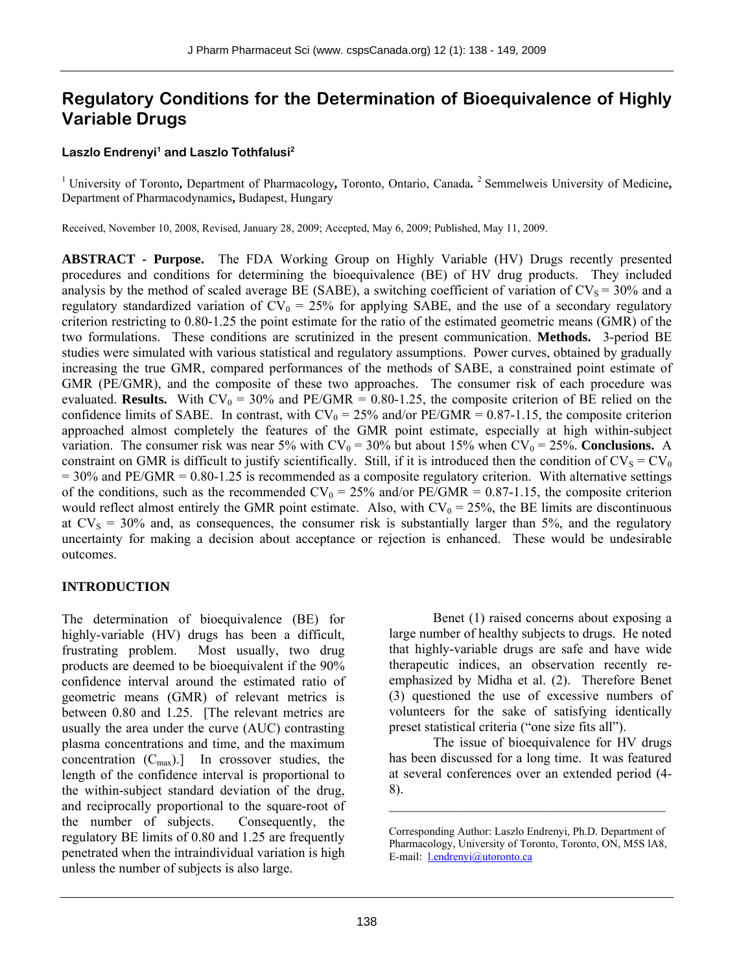# **Regulatory Conditions for the Determination of Bioequivalence of Highly Variable Drugs**

## Laszlo Endrenyi<sup>1</sup> and Laszlo Tothfalusi<sup>2</sup>

1 University of Toronto**,** Department of Pharmacology**,** Toronto, Ontario, Canada**.** 2 Semmelweis University of Medicine**,**  Department of Pharmacodynamics**,** Budapest, Hungary

Received, November 10, 2008, Revised, January 28, 2009; Accepted, May 6, 2009; Published, May 11, 2009.

**ABSTRACT - Purpose.** The FDA Working Group on Highly Variable (HV) Drugs recently presented procedures and conditions for determining the bioequivalence (BE) of HV drug products. They included analysis by the method of scaled average BE (SABE), a switching coefficient of variation of  $CV_s = 30\%$  and a regulatory standardized variation of  $CV_0 = 25\%$  for applying SABE, and the use of a secondary regulatory criterion restricting to 0.80-1.25 the point estimate for the ratio of the estimated geometric means (GMR) of the two formulations. These conditions are scrutinized in the present communication. **Methods.** 3-period BE studies were simulated with various statistical and regulatory assumptions. Power curves, obtained by gradually increasing the true GMR, compared performances of the methods of SABE, a constrained point estimate of GMR (PE/GMR), and the composite of these two approaches. The consumer risk of each procedure was evaluated. **Results.** With  $CV_0 = 30\%$  and PE/GMR = 0.80-1.25, the composite criterion of BE relied on the confidence limits of SABE. In contrast, with  $CV_0 = 25\%$  and/or PE/GMR = 0.87-1.15, the composite criterion approached almost completely the features of the GMR point estimate, especially at high within-subject variation. The consumer risk was near 5% with  $CV_0 = 30\%$  but about 15% when  $CV_0 = 25\%$ . **Conclusions.** A constraint on GMR is difficult to justify scientifically. Still, if it is introduced then the condition of  $CV_s = CV_0$  $= 30\%$  and PE/GMR = 0.80-1.25 is recommended as a composite regulatory criterion. With alternative settings of the conditions, such as the recommended  $CV_0 = 25\%$  and/or PE/GMR = 0.87-1.15, the composite criterion would reflect almost entirely the GMR point estimate. Also, with  $CV_0 = 25\%$ , the BE limits are discontinuous at  $CV_s = 30\%$  and, as consequences, the consumer risk is substantially larger than 5%, and the regulatory uncertainty for making a decision about acceptance or rejection is enhanced. These would be undesirable outcomes.

## **INTRODUCTION**

The determination of bioequivalence (BE) for highly-variable (HV) drugs has been a difficult, frustrating problem. Most usually, two drug products are deemed to be bioequivalent if the 90% confidence interval around the estimated ratio of geometric means (GMR) of relevant metrics is between 0.80 and 1.25. [The relevant metrics are usually the area under the curve (AUC) contrasting plasma concentrations and time, and the maximum concentration  $(C_{\text{max}})$ . In crossover studies, the length of the confidence interval is proportional to the within-subject standard deviation of the drug, and reciprocally proportional to the square-root of the number of subjects. Consequently, the regulatory BE limits of 0.80 and 1.25 are frequently penetrated when the intraindividual variation is high unless the number of subjects is also large.

Benet (1) raised concerns about exposing a large number of healthy subjects to drugs. He noted that highly-variable drugs are safe and have wide therapeutic indices, an observation recently reemphasized by Midha et al. (2). Therefore Benet (3) questioned the use of excessive numbers of volunteers for the sake of satisfying identically preset statistical criteria ("one size fits all").

 The issue of bioequivalence for HV drugs has been discussed for a long time. It was featured at several conferences over an extended period (4- 8).

 $\mathcal{L}_\text{max}$ 

Corresponding Author: Laszlo Endrenyi, Ph.D. Department of Pharmacology, University of Toronto, Toronto, ON, M5S lA8, E-mail: *l.endrenyi@utoronto.ca*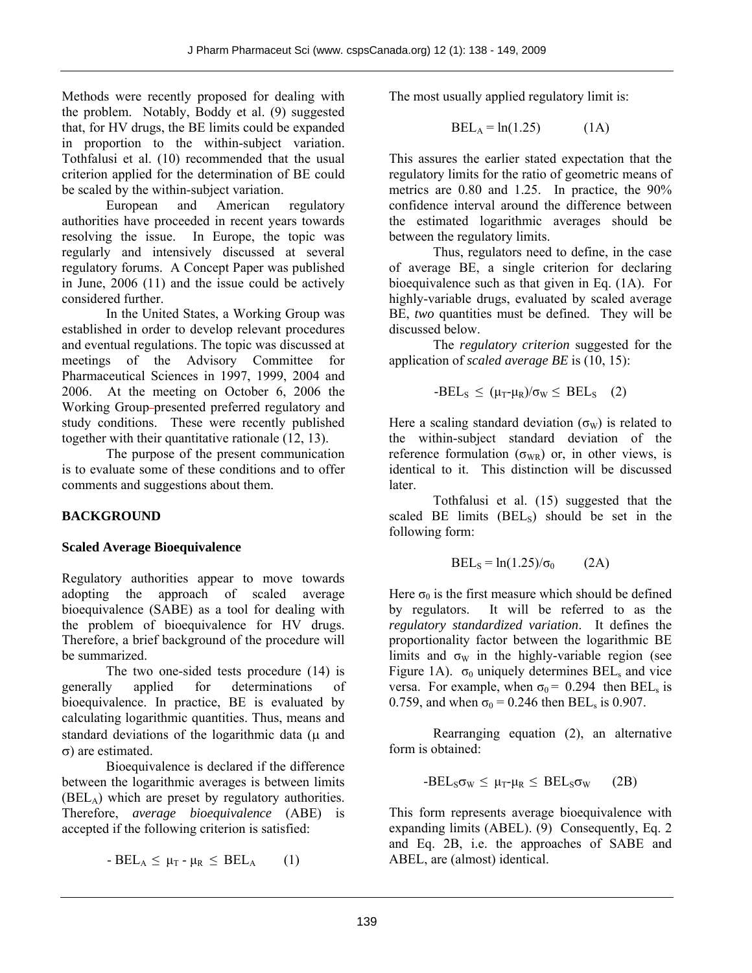Methods were recently proposed for dealing with the problem. Notably, Boddy et al. (9) suggested that, for HV drugs, the BE limits could be expanded in proportion to the within-subject variation. Tothfalusi et al. (10) recommended that the usual criterion applied for the determination of BE could be scaled by the within-subject variation.

 European and American regulatory authorities have proceeded in recent years towards resolving the issue. In Europe, the topic was regularly and intensively discussed at several regulatory forums. A Concept Paper was published in June, 2006 (11) and the issue could be actively considered further.

In the United States, a Working Group was established in order to develop relevant procedures and eventual regulations. The topic was discussed at meetings of the Advisory Committee for Pharmaceutical Sciences in 1997, 1999, 2004 and 2006. At the meeting on October 6, 2006 the Working Group-presented preferred regulatory and study conditions. These were recently published together with their quantitative rationale (12, 13).

 The purpose of the present communication is to evaluate some of these conditions and to offer comments and suggestions about them.

## **BACKGROUND**

## **Scaled Average Bioequivalence**

Regulatory authorities appear to move towards adopting the approach of scaled average bioequivalence (SABE) as a tool for dealing with the problem of bioequivalence for HV drugs. Therefore, a brief background of the procedure will be summarized.

 The two one-sided tests procedure (14) is generally applied for determinations of bioequivalence. In practice, BE is evaluated by calculating logarithmic quantities. Thus, means and standard deviations of the logarithmic data  $(\mu$  and  $\sigma$ ) are estimated.

Bioequivalence is declared if the difference between the logarithmic averages is between limits (BELA) which are preset by regulatory authorities. Therefore, *average bioequivalence* (ABE) is accepted if the following criterion is satisfied:

$$
-BEL_A \leq \mu_T - \mu_R \leq BEL_A \qquad (1)
$$

The most usually applied regulatory limit is:

$$
BELA = ln(1.25)
$$
 (1A)

This assures the earlier stated expectation that the regulatory limits for the ratio of geometric means of metrics are 0.80 and 1.25. In practice, the 90% confidence interval around the difference between the estimated logarithmic averages should be between the regulatory limits.

 Thus, regulators need to define, in the case of average BE, a single criterion for declaring bioequivalence such as that given in Eq. (1A). For highly-variable drugs, evaluated by scaled average BE, *two* quantities must be defined. They will be discussed below.

 The *regulatory criterion* suggested for the application of *scaled average BE* is (10, 15):

$$
-BEL_S \leq (\mu_T \text{-} \mu_R)/\sigma_W \leq BEL_S \quad (2)
$$

Here a scaling standard deviation  $(\sigma_w)$  is related to the within-subject standard deviation of the reference formulation  $(\sigma_{WR})$  or, in other views, is identical to it. This distinction will be discussed later.

Tothfalusi et al. (15) suggested that the scaled BE limits (BEL<sub>S</sub>) should be set in the following form:

$$
BELS = ln(1.25)/\sigma_0 \qquad (2A)
$$

Here  $\sigma_0$  is the first measure which should be defined<br>by regulators. It will be referred to as the It will be referred to as the *regulatory standardized variation*. It defines the proportionality factor between the logarithmic BE limits and  $\sigma_W$  in the highly-variable region (see Figure 1A).  $\sigma_0$  uniquely determines BEL, and vice versa. For example, when  $\sigma_0 = 0.294$  then BEL<sub>s</sub> is 0.759, and when  $\sigma_0 = 0.246$  then BEL<sub>s</sub> is 0.907.

Rearranging equation (2), an alternative form is obtained:

$$
-BEL_S \sigma_W \leq \mu_T \mu_R \leq BEL_S \sigma_W \qquad (2B)
$$

This form represents average bioequivalence with expanding limits (ABEL). (9) Consequently, Eq. 2 and Eq. 2B, i.e. the approaches of SABE and ABEL, are (almost) identical.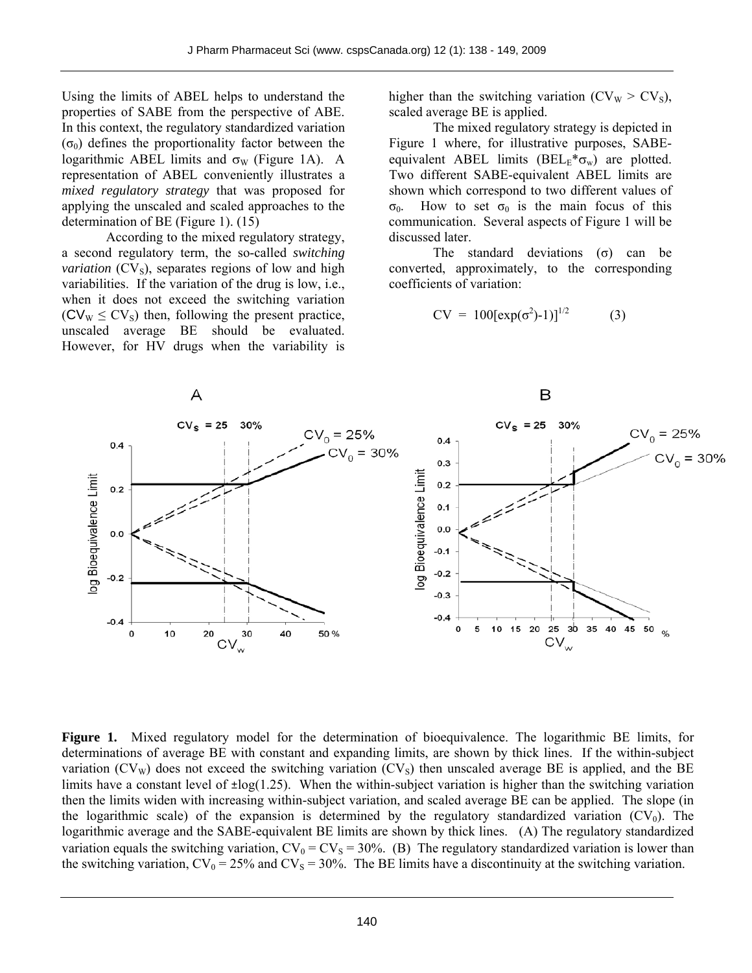Using the limits of ABEL helps to understand the properties of SABE from the perspective of ABE. In this context, the regulatory standardized variation  $(\sigma_0)$  defines the proportionality factor between the logarithmic ABEL limits and  $\sigma_W$  (Figure 1A). A representation of ABEL conveniently illustrates a *mixed regulatory strategy* that was proposed for applying the unscaled and scaled approaches to the determination of BE (Figure 1). (15)

According to the mixed regulatory strategy, a second regulatory term, the so-called *switching variation*  $(CV<sub>s</sub>)$ , separates regions of low and high variabilities. If the variation of the drug is low, i.e., when it does not exceed the switching variation  $(CV_W \le CV_S)$  then, following the present practice, unscaled average BE should be evaluated. However, for HV drugs when the variability is higher than the switching variation  $(CV_W > CV_S)$ , scaled average BE is applied.

The mixed regulatory strategy is depicted in Figure 1 where, for illustrative purposes, SABEequivalent ABEL limits (BEL<sub>E</sub> $* \sigma_w$ ) are plotted. Two different SABE-equivalent ABEL limits are shown which correspond to two different values of σ<sub>0</sub>. How to set σ<sub>0</sub> is the main focus of this communication. Several aspects of Figure 1 will be discussed later.

The standard deviations (σ) can be converted, approximately, to the corresponding coefficients of variation:

$$
CV = 100[\exp(\sigma^2) - 1)]^{1/2} \tag{3}
$$



**Figure 1.** Mixed regulatory model for the determination of bioequivalence. The logarithmic BE limits, for determinations of average BE with constant and expanding limits, are shown by thick lines. If the within-subject variation  $(CV_W)$  does not exceed the switching variation  $(CV_S)$  then unscaled average BE is applied, and the BE limits have a constant level of  $\pm \log(1.25)$ . When the within-subject variation is higher than the switching variation then the limits widen with increasing within-subject variation, and scaled average BE can be applied. The slope (in the logarithmic scale) of the expansion is determined by the regulatory standardized variation  $(CV_0)$ . The logarithmic average and the SABE-equivalent BE limits are shown by thick lines. (A) The regulatory standardized variation equals the switching variation,  $CV_0 = CV_s = 30\%$ . (B) The regulatory standardized variation is lower than the switching variation,  $CV_0 = 25\%$  and  $CV_s = 30\%$ . The BE limits have a discontinuity at the switching variation.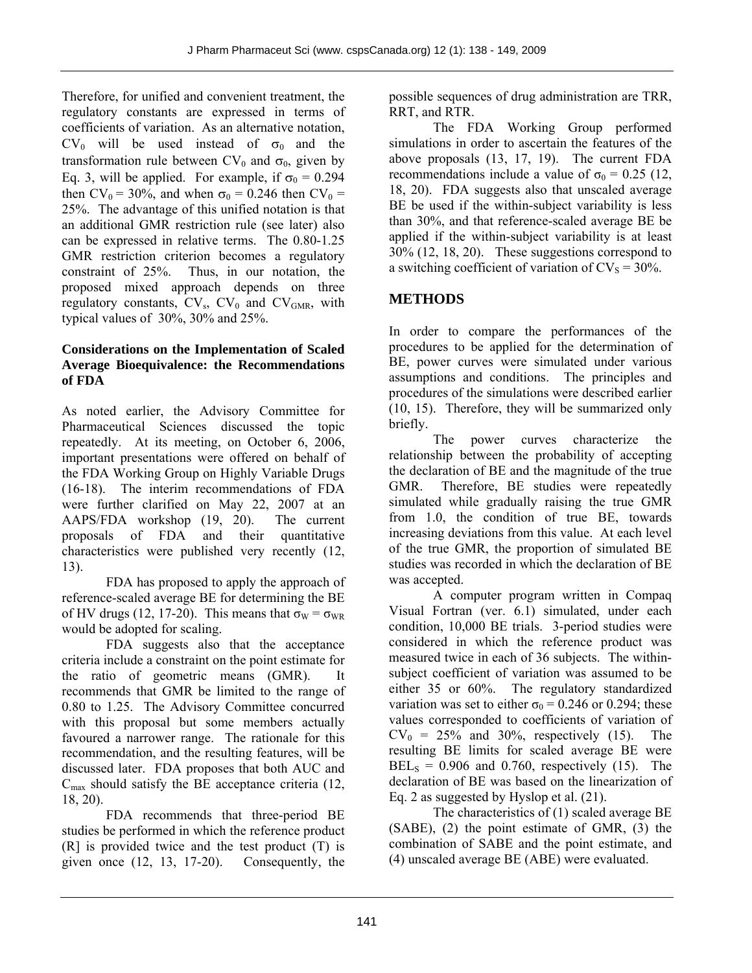Therefore, for unified and convenient treatment, the regulatory constants are expressed in terms of coefficients of variation. As an alternative notation,  $CV_0$  will be used instead of  $\sigma_0$  and the transformation rule between  $CV_0$  and  $\sigma_0$ , given by Eq. 3, will be applied. For example, if  $\sigma_0 = 0.294$ then  $CV_0 = 30\%$ , and when  $\sigma_0 = 0.246$  then  $CV_0 =$ 25%. The advantage of this unified notation is that an additional GMR restriction rule (see later) also can be expressed in relative terms. The 0.80-1.25 GMR restriction criterion becomes a regulatory constraint of 25%. Thus, in our notation, the proposed mixed approach depends on three regulatory constants,  $CV_s$ ,  $CV_0$  and  $CV_{GMR}$ , with typical values of 30%, 30% and 25%.

## **Considerations on the Implementation of Scaled Average Bioequivalence: the Recommendations of FDA**

As noted earlier, the Advisory Committee for Pharmaceutical Sciences discussed the topic repeatedly. At its meeting, on October 6, 2006, important presentations were offered on behalf of the FDA Working Group on Highly Variable Drugs (16-18). The interim recommendations of FDA were further clarified on May 22, 2007 at an AAPS/FDA workshop (19, 20). The current proposals of FDA and their quantitative characteristics were published very recently (12, 13).

FDA has proposed to apply the approach of reference-scaled average BE for determining the BE of HV drugs (12, 17-20). This means that  $\sigma_{\text{W}} = \sigma_{\text{WR}}$ would be adopted for scaling.

FDA suggests also that the acceptance criteria include a constraint on the point estimate for the ratio of geometric means (GMR). It recommends that GMR be limited to the range of 0.80 to 1.25. The Advisory Committee concurred with this proposal but some members actually favoured a narrower range. The rationale for this recommendation, and the resulting features, will be discussed later. FDA proposes that both AUC and  $C_{\text{max}}$  should satisfy the BE acceptance criteria (12, 18, 20).

FDA recommends that three-period BE studies be performed in which the reference product (R] is provided twice and the test product (T) is given once (12, 13, 17-20). Consequently, the

possible sequences of drug administration are TRR, RRT, and RTR.

The FDA Working Group performed simulations in order to ascertain the features of the above proposals (13, 17, 19). The current FDA recommendations include a value of  $\sigma_0 = 0.25$  (12, 18, 20). FDA suggests also that unscaled average BE be used if the within-subject variability is less than 30%, and that reference-scaled average BE be applied if the within-subject variability is at least 30% (12, 18, 20). These suggestions correspond to a switching coefficient of variation of  $CV_s = 30\%$ .

## **METHODS**

In order to compare the performances of the procedures to be applied for the determination of BE, power curves were simulated under various assumptions and conditions. The principles and procedures of the simulations were described earlier (10, 15). Therefore, they will be summarized only briefly.

The power curves characterize the relationship between the probability of accepting the declaration of BE and the magnitude of the true GMR. Therefore, BE studies were repeatedly simulated while gradually raising the true GMR from 1.0, the condition of true BE, towards increasing deviations from this value. At each level of the true GMR, the proportion of simulated BE studies was recorded in which the declaration of BE was accepted.

A computer program written in Compaq Visual Fortran (ver. 6.1) simulated, under each condition, 10,000 BE trials. 3-period studies were considered in which the reference product was measured twice in each of 36 subjects. The withinsubject coefficient of variation was assumed to be either 35 or 60%. The regulatory standardized variation was set to either  $\sigma_0 = 0.246$  or 0.294; these values corresponded to coefficients of variation of  $CV_0 = 25\%$  and 30%, respectively (15). The resulting BE limits for scaled average BE were  $BEL<sub>s</sub> = 0.906$  and 0.760, respectively (15). The declaration of BE was based on the linearization of Eq. 2 as suggested by Hyslop et al. (21).

The characteristics of (1) scaled average BE (SABE), (2) the point estimate of GMR, (3) the combination of SABE and the point estimate, and (4) unscaled average BE (ABE) were evaluated.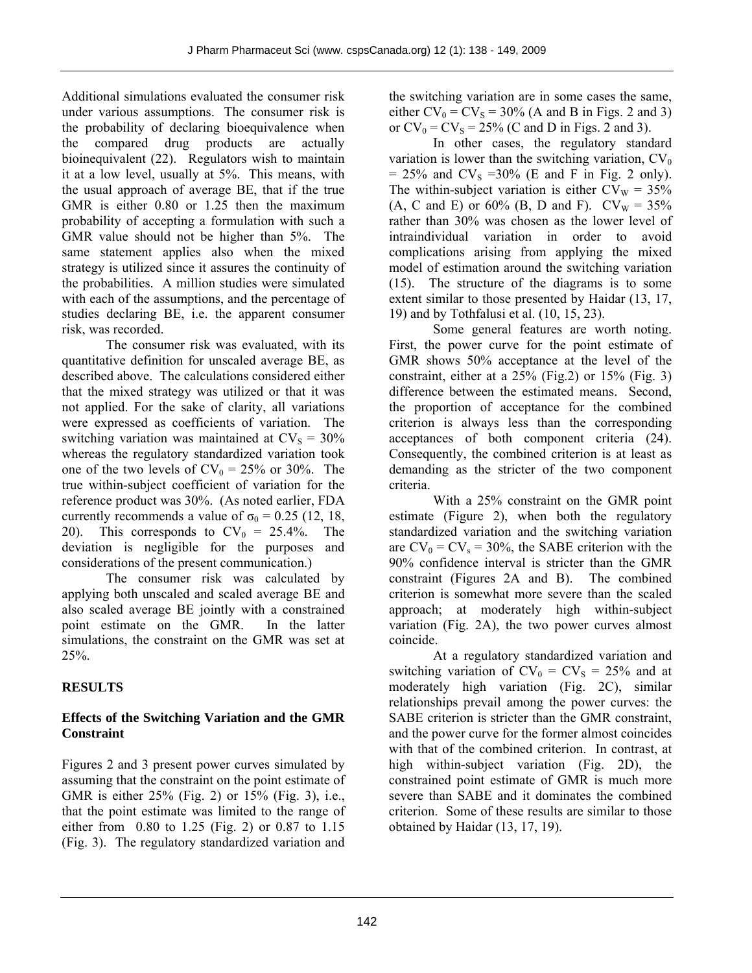Additional simulations evaluated the consumer risk under various assumptions. The consumer risk is the probability of declaring bioequivalence when the compared drug products are actually bioinequivalent (22). Regulators wish to maintain it at a low level, usually at 5%. This means, with the usual approach of average BE, that if the true GMR is either 0.80 or 1.25 then the maximum probability of accepting a formulation with such a GMR value should not be higher than 5%. The same statement applies also when the mixed strategy is utilized since it assures the continuity of the probabilities. A million studies were simulated with each of the assumptions, and the percentage of studies declaring BE, i.e. the apparent consumer risk, was recorded.

The consumer risk was evaluated, with its quantitative definition for unscaled average BE, as described above. The calculations considered either that the mixed strategy was utilized or that it was not applied. For the sake of clarity, all variations were expressed as coefficients of variation. The switching variation was maintained at  $CV_s = 30\%$ whereas the regulatory standardized variation took one of the two levels of  $CV_0 = 25\%$  or 30%. The true within-subject coefficient of variation for the reference product was 30%. (As noted earlier, FDA currently recommends a value of  $\sigma_0 = 0.25$  (12, 18, 20). This corresponds to  $CV_0 = 25.4\%$ . The deviation is negligible for the purposes and considerations of the present communication.)

The consumer risk was calculated by applying both unscaled and scaled average BE and also scaled average BE jointly with a constrained point estimate on the GMR. In the latter simulations, the constraint on the GMR was set at 25%.

## **RESULTS**

## **Effects of the Switching Variation and the GMR Constraint**

Figures 2 and 3 present power curves simulated by assuming that the constraint on the point estimate of GMR is either 25% (Fig. 2) or 15% (Fig. 3), i.e., that the point estimate was limited to the range of either from 0.80 to 1.25 (Fig. 2) or 0.87 to 1.15 (Fig. 3). The regulatory standardized variation and

the switching variation are in some cases the same, either  $CV_0 = CV_s = 30\%$  (A and B in Figs. 2 and 3) or  $CV_0 = CV_s = 25\%$  (C and D in Figs. 2 and 3).

In other cases, the regulatory standard variation is lower than the switching variation,  $CV_0$  $= 25\%$  and CV<sub>S</sub> = 30% (E and F in Fig. 2 only). The within-subject variation is either  $CV_{W} = 35\%$ (A, C and E) or 60% (B, D and F).  $CV_W = 35%$ rather than 30% was chosen as the lower level of intraindividual variation in order to avoid complications arising from applying the mixed model of estimation around the switching variation (15). The structure of the diagrams is to some extent similar to those presented by Haidar (13, 17, 19) and by Tothfalusi et al. (10, 15, 23).

Some general features are worth noting. First, the power curve for the point estimate of GMR shows 50% acceptance at the level of the constraint, either at a  $25\%$  (Fig. 2) or  $15\%$  (Fig. 3) difference between the estimated means. Second, the proportion of acceptance for the combined criterion is always less than the corresponding acceptances of both component criteria (24). Consequently, the combined criterion is at least as demanding as the stricter of the two component criteria.

With a 25% constraint on the GMR point estimate (Figure 2), when both the regulatory standardized variation and the switching variation are  $CV_0 = CV_s = 30\%$ , the SABE criterion with the 90% confidence interval is stricter than the GMR constraint (Figures 2A and B). The combined criterion is somewhat more severe than the scaled approach; at moderately high within-subject variation (Fig. 2A), the two power curves almost coincide.

At a regulatory standardized variation and switching variation of  $CV_0 = CV_s = 25\%$  and at moderately high variation (Fig. 2C), similar relationships prevail among the power curves: the SABE criterion is stricter than the GMR constraint, and the power curve for the former almost coincides with that of the combined criterion. In contrast, at high within-subject variation (Fig. 2D), the constrained point estimate of GMR is much more severe than SABE and it dominates the combined criterion. Some of these results are similar to those obtained by Haidar (13, 17, 19).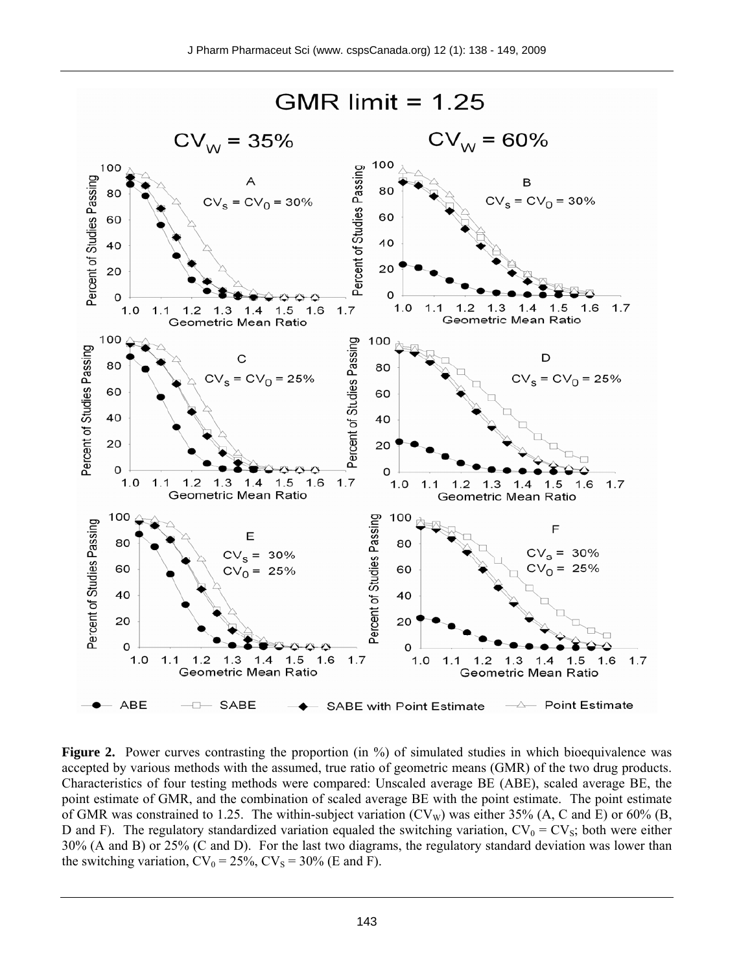

**Figure 2.** Power curves contrasting the proportion (in %) of simulated studies in which bioequivalence was accepted by various methods with the assumed, true ratio of geometric means (GMR) of the two drug products. Characteristics of four testing methods were compared: Unscaled average BE (ABE), scaled average BE, the point estimate of GMR, and the combination of scaled average BE with the point estimate. The point estimate of GMR was constrained to 1.25. The within-subject variation  $(CV_W)$  was either 35% (A, C and E) or 60% (B, D and F). The regulatory standardized variation equaled the switching variation,  $CV_0 = CV_S$ ; both were either 30% (A and B) or 25% (C and D). For the last two diagrams, the regulatory standard deviation was lower than the switching variation,  $CV_0 = 25\%$ ,  $CV_S = 30\%$  (E and F).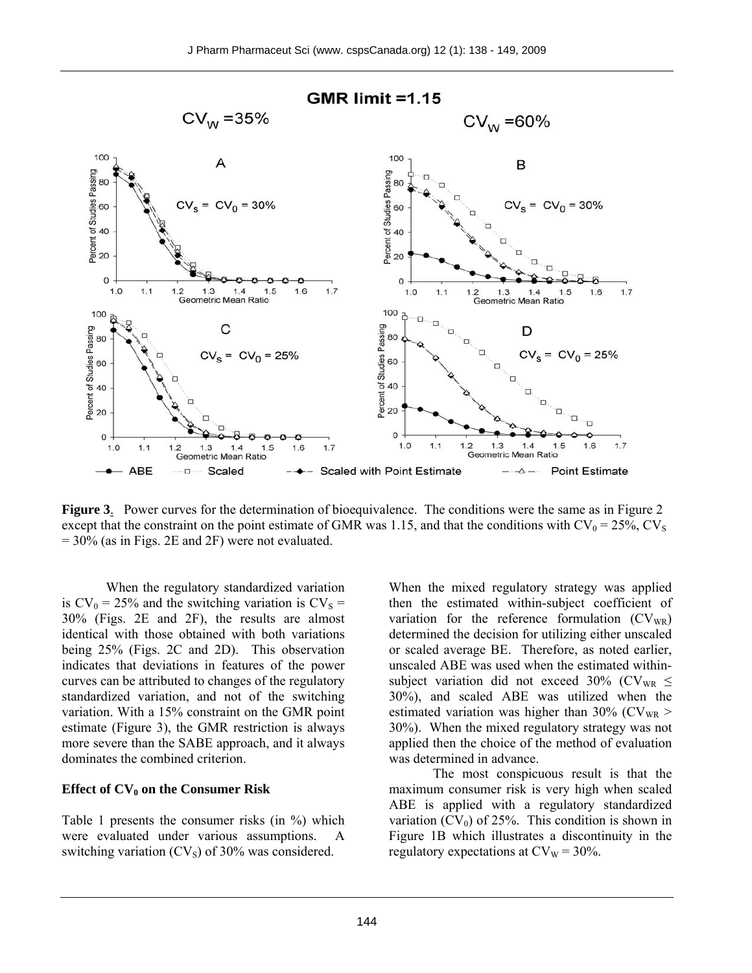

**Figure 3**. Power curves for the determination of bioequivalence. The conditions were the same as in Figure 2 except that the constraint on the point estimate of GMR was 1.15, and that the conditions with  $CV_0 = 25\%$ ,  $CV_S$ = 30% (as in Figs. 2E and 2F) were not evaluated.

When the regulatory standardized variation is  $CV_0 = 25\%$  and the switching variation is  $CV_s =$ 30% (Figs. 2E and 2F), the results are almost identical with those obtained with both variations being 25% (Figs. 2C and 2D). This observation indicates that deviations in features of the power curves can be attributed to changes of the regulatory standardized variation, and not of the switching variation. With a 15% constraint on the GMR point estimate (Figure 3), the GMR restriction is always more severe than the SABE approach, and it always dominates the combined criterion.

#### **Effect of CV<sub>0</sub> on the Consumer Risk**

Table 1 presents the consumer risks (in %) which were evaluated under various assumptions. A switching variation  $(CV<sub>S</sub>)$  of 30% was considered.

When the mixed regulatory strategy was applied then the estimated within-subject coefficient of variation for the reference formulation  $(CV_{WR})$ determined the decision for utilizing either unscaled or scaled average BE. Therefore, as noted earlier, unscaled ABE was used when the estimated withinsubject variation did not exceed 30% ( $CV_{WR} \le$ 30%), and scaled ABE was utilized when the estimated variation was higher than 30% ( $CV_{WR}$  > 30%). When the mixed regulatory strategy was not applied then the choice of the method of evaluation was determined in advance.

The most conspicuous result is that the maximum consumer risk is very high when scaled ABE is applied with a regulatory standardized variation  $(CV_0)$  of 25%. This condition is shown in Figure 1B which illustrates a discontinuity in the regulatory expectations at  $CV<sub>W</sub> = 30%$ .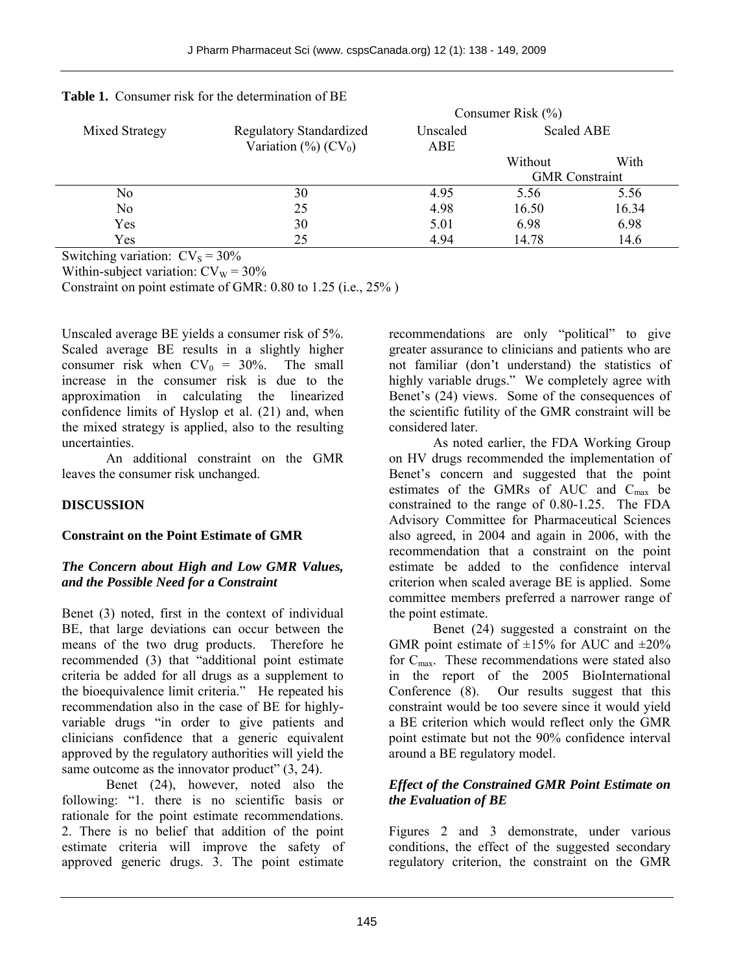| Mixed Strategy |                                                          | Consumer Risk $(\% )$ |                       |       |
|----------------|----------------------------------------------------------|-----------------------|-----------------------|-------|
|                | <b>Regulatory Standardized</b><br>Variation $(\%)(CV_0)$ | Unscaled<br>ABE       | <b>Scaled ABE</b>     |       |
|                |                                                          |                       | Without               | With  |
|                |                                                          |                       | <b>GMR</b> Constraint |       |
| No             | 30                                                       | 4.95                  | 5.56                  | 5.56  |
| No             | 25                                                       | 4.98                  | 16.50                 | 16.34 |
| Yes            | 30                                                       | 5.01                  | 6.98                  | 6.98  |
| Yes            | 25                                                       | 4.94                  | 14.78                 | 14.6  |

**Table 1.** Consumer risk for the determination of BE

Switching variation:  $CV_s = 30\%$ 

Within-subject variation:  $CV_w = 30\%$ 

Constraint on point estimate of GMR: 0.80 to 1.25 (i.e., 25% )

Unscaled average BE yields a consumer risk of 5%. Scaled average BE results in a slightly higher consumer risk when  $CV_0 = 30\%$ . The small increase in the consumer risk is due to the approximation in calculating the linearized confidence limits of Hyslop et al. (21) and, when the mixed strategy is applied, also to the resulting uncertainties.

An additional constraint on the GMR leaves the consumer risk unchanged.

## **DISCUSSION**

### **Constraint on the Point Estimate of GMR**

### *The Concern about High and Low GMR Values, and the Possible Need for a Constraint*

Benet (3) noted, first in the context of individual BE, that large deviations can occur between the means of the two drug products. Therefore he recommended (3) that "additional point estimate criteria be added for all drugs as a supplement to the bioequivalence limit criteria." He repeated his recommendation also in the case of BE for highlyvariable drugs "in order to give patients and clinicians confidence that a generic equivalent approved by the regulatory authorities will yield the same outcome as the innovator product"  $(3, 24)$ .

Benet (24), however, noted also the following: "1. there is no scientific basis or rationale for the point estimate recommendations. 2. There is no belief that addition of the point estimate criteria will improve the safety of approved generic drugs. 3. The point estimate recommendations are only "political" to give greater assurance to clinicians and patients who are not familiar (don't understand) the statistics of highly variable drugs." We completely agree with Benet's (24) views. Some of the consequences of the scientific futility of the GMR constraint will be considered later.

As noted earlier, the FDA Working Group on HV drugs recommended the implementation of Benet's concern and suggested that the point estimates of the GMRs of AUC and Cmax be constrained to the range of 0.80-1.25. The FDA Advisory Committee for Pharmaceutical Sciences also agreed, in 2004 and again in 2006, with the recommendation that a constraint on the point estimate be added to the confidence interval criterion when scaled average BE is applied. Some committee members preferred a narrower range of the point estimate.

Benet (24) suggested a constraint on the GMR point estimate of  $\pm 15\%$  for AUC and  $\pm 20\%$ for  $C_{\text{max}}$ . These recommendations were stated also in the report of the 2005 BioInternational Conference (8). Our results suggest that this constraint would be too severe since it would yield a BE criterion which would reflect only the GMR point estimate but not the 90% confidence interval around a BE regulatory model.

## *Effect of the Constrained GMR Point Estimate on the Evaluation of BE*

Figures 2 and 3 demonstrate, under various conditions, the effect of the suggested secondary regulatory criterion, the constraint on the GMR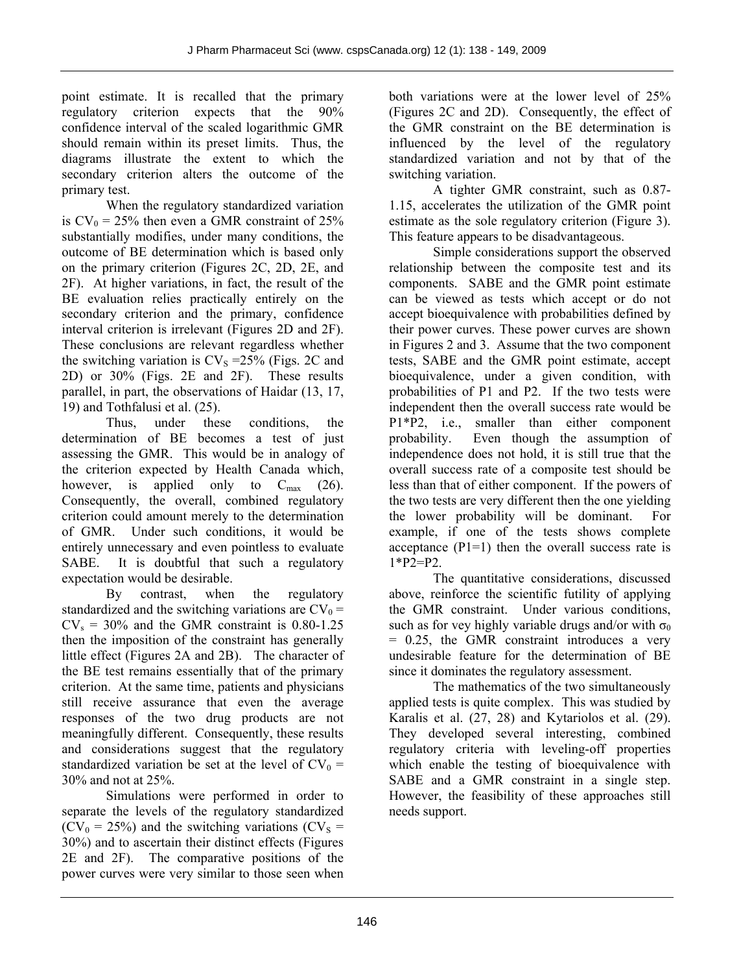point estimate. It is recalled that the primary regulatory criterion expects that the 90% confidence interval of the scaled logarithmic GMR should remain within its preset limits. Thus, the diagrams illustrate the extent to which the secondary criterion alters the outcome of the primary test.

When the regulatory standardized variation is  $CV_0 = 25\%$  then even a GMR constraint of 25% substantially modifies, under many conditions, the outcome of BE determination which is based only on the primary criterion (Figures 2C, 2D, 2E, and 2F). At higher variations, in fact, the result of the BE evaluation relies practically entirely on the secondary criterion and the primary, confidence interval criterion is irrelevant (Figures 2D and 2F). These conclusions are relevant regardless whether the switching variation is  $CV_s = 25\%$  (Figs. 2C and 2D) or 30% (Figs. 2E and 2F). These results parallel, in part, the observations of Haidar (13, 17, 19) and Tothfalusi et al. (25).

Thus, under these conditions, the determination of BE becomes a test of just assessing the GMR. This would be in analogy of the criterion expected by Health Canada which, however, is applied only to  $C_{\text{max}}$  (26). Consequently, the overall, combined regulatory criterion could amount merely to the determination of GMR. Under such conditions, it would be entirely unnecessary and even pointless to evaluate SABE. It is doubtful that such a regulatory expectation would be desirable.

By contrast, when the regulatory standardized and the switching variations are  $CV_0 =$  $CV_s = 30\%$  and the GMR constraint is 0.80-1.25 then the imposition of the constraint has generally little effect (Figures 2A and 2B). The character of the BE test remains essentially that of the primary criterion. At the same time, patients and physicians still receive assurance that even the average responses of the two drug products are not meaningfully different. Consequently, these results and considerations suggest that the regulatory standardized variation be set at the level of  $CV_0 =$ 30% and not at 25%.

Simulations were performed in order to separate the levels of the regulatory standardized  $(CV_0 = 25\%)$  and the switching variations  $(CV_s =$ 30%) and to ascertain their distinct effects (Figures 2E and 2F). The comparative positions of the power curves were very similar to those seen when both variations were at the lower level of 25% (Figures 2C and 2D). Consequently, the effect of the GMR constraint on the BE determination is influenced by the level of the regulatory standardized variation and not by that of the switching variation.

A tighter GMR constraint, such as 0.87- 1.15, accelerates the utilization of the GMR point estimate as the sole regulatory criterion (Figure 3). This feature appears to be disadvantageous.

Simple considerations support the observed relationship between the composite test and its components. SABE and the GMR point estimate can be viewed as tests which accept or do not accept bioequivalence with probabilities defined by their power curves. These power curves are shown in Figures 2 and 3. Assume that the two component tests, SABE and the GMR point estimate, accept bioequivalence, under a given condition, with probabilities of P1 and P2. If the two tests were independent then the overall success rate would be P1\*P2, i.e., smaller than either component probability. Even though the assumption of independence does not hold, it is still true that the overall success rate of a composite test should be less than that of either component. If the powers of the two tests are very different then the one yielding the lower probability will be dominant. For example, if one of the tests shows complete acceptance  $(P1=1)$  then the overall success rate is 1\*P2=P2.

The quantitative considerations, discussed above, reinforce the scientific futility of applying the GMR constraint. Under various conditions, such as for vey highly variable drugs and/or with  $\sigma_0$ = 0.25, the GMR constraint introduces a very undesirable feature for the determination of BE since it dominates the regulatory assessment.

The mathematics of the two simultaneously applied tests is quite complex. This was studied by Karalis et al. (27, 28) and Kytariolos et al. (29). They developed several interesting, combined regulatory criteria with leveling-off properties which enable the testing of bioequivalence with SABE and a GMR constraint in a single step. However, the feasibility of these approaches still needs support.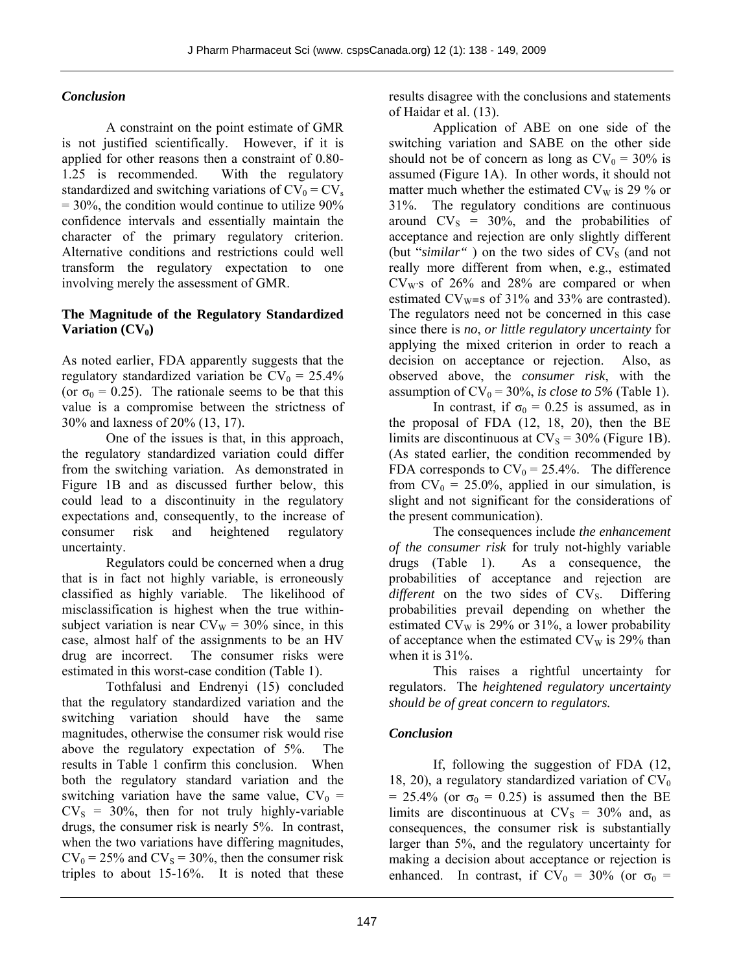## *Conclusion*

A constraint on the point estimate of GMR is not justified scientifically. However, if it is applied for other reasons then a constraint of 0.80- 1.25 is recommended. With the regulatory standardized and switching variations of  $CV_0 = CV_s$  $= 30\%$ , the condition would continue to utilize 90% confidence intervals and essentially maintain the character of the primary regulatory criterion. Alternative conditions and restrictions could well transform the regulatory expectation to one involving merely the assessment of GMR.

## **The Magnitude of the Regulatory Standardized Variation (CV<sub>0</sub>)**

As noted earlier, FDA apparently suggests that the regulatory standardized variation be  $CV_0 = 25.4\%$ (or  $\sigma_0 = 0.25$ ). The rationale seems to be that this value is a compromise between the strictness of 30% and laxness of 20% (13, 17).

One of the issues is that, in this approach, the regulatory standardized variation could differ from the switching variation. As demonstrated in Figure 1B and as discussed further below, this could lead to a discontinuity in the regulatory expectations and, consequently, to the increase of consumer risk and heightened regulatory uncertainty.

Regulators could be concerned when a drug that is in fact not highly variable, is erroneously classified as highly variable. The likelihood of misclassification is highest when the true withinsubject variation is near  $CV_w = 30\%$  since, in this case, almost half of the assignments to be an HV drug are incorrect. The consumer risks were estimated in this worst-case condition (Table 1).

Tothfalusi and Endrenyi (15) concluded that the regulatory standardized variation and the switching variation should have the same magnitudes, otherwise the consumer risk would rise above the regulatory expectation of 5%. The results in Table 1 confirm this conclusion. When both the regulatory standard variation and the switching variation have the same value,  $CV_0$  =  $CV<sub>S</sub> = 30%$ , then for not truly highly-variable drugs, the consumer risk is nearly 5%. In contrast, when the two variations have differing magnitudes,  $CV_0 = 25\%$  and  $CV_s = 30\%$ , then the consumer risk triples to about 15-16%. It is noted that these

results disagree with the conclusions and statements of Haidar et al. (13).

Application of ABE on one side of the switching variation and SABE on the other side should not be of concern as long as  $CV_0 = 30\%$  is assumed (Figure 1A). In other words, it should not matter much whether the estimated  $CV_w$  is 29 % or 31%. The regulatory conditions are continuous around  $CV_s = 30\%$ , and the probabilities of acceptance and rejection are only slightly different (but " $similar$ ") on the two sides of  $CV<sub>S</sub>$  (and not really more different from when, e.g., estimated  $CV<sub>W</sub>$ 's of 26% and 28% are compared or when estimated  $CV<sub>W</sub>=s$  of 31% and 33% are contrasted). The regulators need not be concerned in this case since there is *no*, *or little regulatory uncertainty* for applying the mixed criterion in order to reach a decision on acceptance or rejection. Also, as observed above, the *consumer risk*, with the assumption of  $CV_0 = 30\%$ , *is close to 5%* (Table 1).

In contrast, if  $\sigma_0 = 0.25$  is assumed, as in the proposal of FDA (12, 18, 20), then the BE limits are discontinuous at  $CV_s = 30\%$  (Figure 1B). (As stated earlier, the condition recommended by FDA corresponds to  $CV_0 = 25.4\%$ . The difference from  $CV_0 = 25.0\%$ , applied in our simulation, is slight and not significant for the considerations of the present communication).

The consequences include *the enhancement of the consumer risk* for truly not-highly variable drugs (Table 1). As a consequence, the probabilities of acceptance and rejection are *different* on the two sides of  $CV<sub>S</sub>$ . Differing probabilities prevail depending on whether the estimated CV<sub>W</sub> is 29% or 31%, a lower probability of acceptance when the estimated  $CV_{W}$  is 29% than when it is 31%.

This raises a rightful uncertainty for regulators. The *heightened regulatory uncertainty should be of great concern to regulators.* 

## *Conclusion*

If, following the suggestion of FDA (12, 18, 20), a regulatory standardized variation of  $CV_0$ = 25.4% (or  $\sigma_0$  = 0.25) is assumed then the BE limits are discontinuous at  $CV_s = 30\%$  and, as consequences, the consumer risk is substantially larger than 5%, and the regulatory uncertainty for making a decision about acceptance or rejection is enhanced. In contrast, if  $CV_0 = 30\%$  (or  $\sigma_0$  =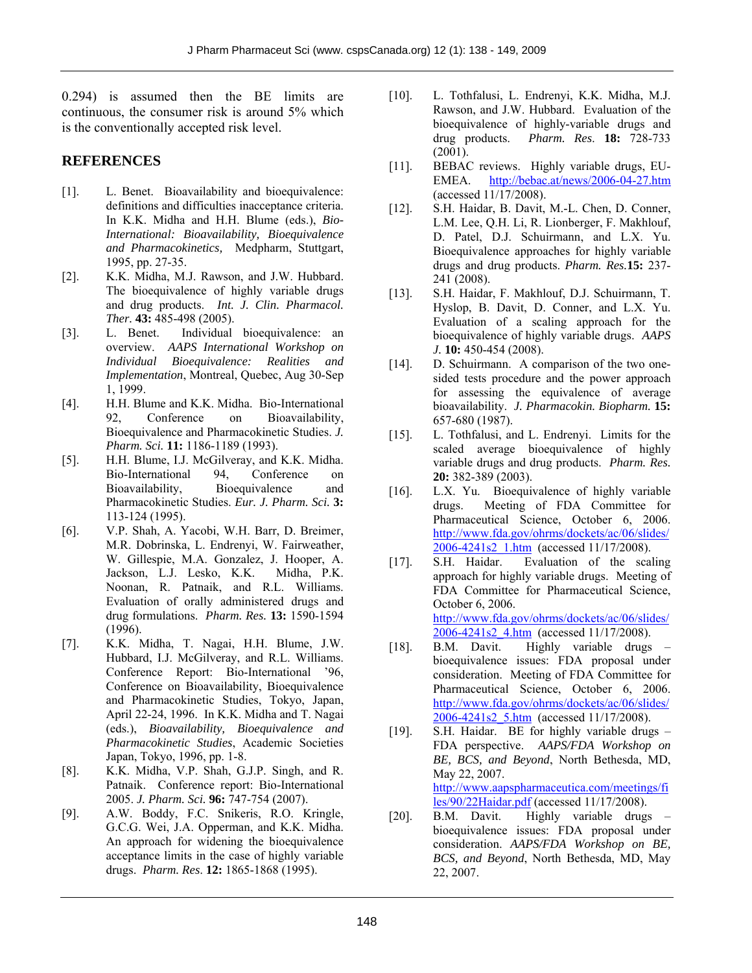0.294) is assumed then the BE limits are continuous, the consumer risk is around 5% which is the conventionally accepted risk level.

## **REFERENCES**

- [1]. L. Benet. Bioavailability and bioequivalence: definitions and difficulties inacceptance criteria. In K.K. Midha and H.H. Blume (eds.), *Bio-International: Bioavailability, Bioequivalence and Pharmacokinetics,* Medpharm, Stuttgart, 1995, pp. 27-35.
- [2]. K.K. Midha, M.J. Rawson, and J.W. Hubbard. The bioequivalence of highly variable drugs and drug products. *Int. J. Clin. Pharmacol. Ther.* **43:** 485-498 (2005).
- [3]. L. Benet. Individual bioequivalence: an overview. *AAPS International Workshop on Individual Bioequivalence: Realities and Implementation*, Montreal, Quebec, Aug 30-Sep 1, 1999.
- [4]. H.H. Blume and K.K. Midha. Bio-International 92, Conference on Bioavailability, Bioequivalence and Pharmacokinetic Studies. *J. Pharm. Sci.* **11:** 1186-1189 (1993).
- [5]. H.H. Blume, I.J. McGilveray, and K.K. Midha. Bio-International 94, Conference on Bioavailability, Bioequivalence and Pharmacokinetic Studies. *Eur. J. Pharm. Sci.* **3:**  113-124 (1995).
- [6]. V.P. Shah, A. Yacobi, W.H. Barr, D. Breimer, M.R. Dobrinska, L. Endrenyi, W. Fairweather, W. Gillespie, M.A. Gonzalez, J. Hooper, A. Jackson, L.J. Lesko, K.K. Midha, P.K. Noonan, R. Patnaik, and R.L. Williams. Evaluation of orally administered drugs and drug formulations. *Pharm. Res.* **13:** 1590-1594  $(1996).$
- [7]. K.K. Midha, T. Nagai, H.H. Blume, J.W. Hubbard, I.J. McGilveray, and R.L. Williams. Conference Report: Bio-International '96, Conference on Bioavailability, Bioequivalence and Pharmacokinetic Studies, Tokyo, Japan, April 22-24, 1996. In K.K. Midha and T. Nagai (eds.), *Bioavailability, Bioequivalence and Pharmacokinetic Studies*, Academic Societies Japan, Tokyo, 1996, pp. 1-8.
- [8]. K.K. Midha, V.P. Shah, G.J.P. Singh, and R. Patnaik. Conference report: Bio-International 2005. *J. Pharm. Sci.* **96:** 747-754 (2007).
- [9]. A.W. Boddy, F.C. Snikeris, R.O. Kringle, G.C.G. Wei, J.A. Opperman, and K.K. Midha. An approach for widening the bioequivalence acceptance limits in the case of highly variable drugs. *Pharm. Res*. **12:** 1865-1868 (1995).
- [10]. L. Tothfalusi, L. Endrenyi, K.K. Midha, M.J. Rawson, and J.W. Hubbard. Evaluation of the bioequivalence of highly-variable drugs and drug products. *Pharm. Res*. **18:** 728-733 (2001).
- [11]. BEBAC reviews. Highly variable drugs, EU-EMEA. http://bebac.at/news/2006-04-27.htm (accessed 11/17/2008).
- [12]. S.H. Haidar, B. Davit, M.-L. Chen, D. Conner, L.M. Lee, Q.H. Li, R. Lionberger, F. Makhlouf, D. Patel, D.J. Schuirmann, and L.X. Yu. Bioequivalence approaches for highly variable drugs and drug products. *Pharm. Res.***15:** 237- 241 (2008).
- [13]. S.H. Haidar, F. Makhlouf, D.J. Schuirmann, T. Hyslop, B. Davit, D. Conner, and L.X. Yu. Evaluation of a scaling approach for the bioequivalence of highly variable drugs. *AAPS J.* **10:** 450-454 (2008).
- [14]. D. Schuirmann. A comparison of the two onesided tests procedure and the power approach for assessing the equivalence of average bioavailability. *J. Pharmacokin. Biopharm.* **15:** 657-680 (1987).
- [15]. L. Tothfalusi, and L. Endrenyi. Limits for the scaled average bioequivalence of highly variable drugs and drug products. *Pharm. Res.* **20:** 382-389 (2003).
- [16]. L.X. Yu. Bioequivalence of highly variable drugs. Meeting of FDA Committee for Pharmaceutical Science, October 6, 2006. http://www.fda.gov/ohrms/dockets/ac/06/slides/ 2006-4241s2\_1.htm (accessed 11/17/2008).
- [17]. S.H. Haidar. Evaluation of the scaling approach for highly variable drugs. Meeting of FDA Committee for Pharmaceutical Science, October 6, 2006.. http://www.fda.gov/ohrms/dockets/ac/06/slides/ 2006-4241s2\_4.htm (accessed 11/17/2008).
- [18]. B.M. Davit. Highly variable drugs bioequivalence issues: FDA proposal under consideration. Meeting of FDA Committee for Pharmaceutical Science, October 6, 2006. http://www.fda.gov/ohrms/dockets/ac/06/slides/ 2006-4241s2\_5.htm (accessed 11/17/2008).
- [19]. S.H. Haidar. BE for highly variable drugs FDA perspective. *AAPS/FDA Workshop on BE, BCS, and Beyond*, North Bethesda, MD, May 22, 2007. http://www.aapspharmaceutica.com/meetings/fi les/90/22Haidar.pdf (accessed 11/17/2008).
- [20]. B.M. Davit. Highly variable drugs bioequivalence issues: FDA proposal under consideration. *AAPS/FDA Workshop on BE, BCS, and Beyond*, North Bethesda, MD, May 22, 2007.